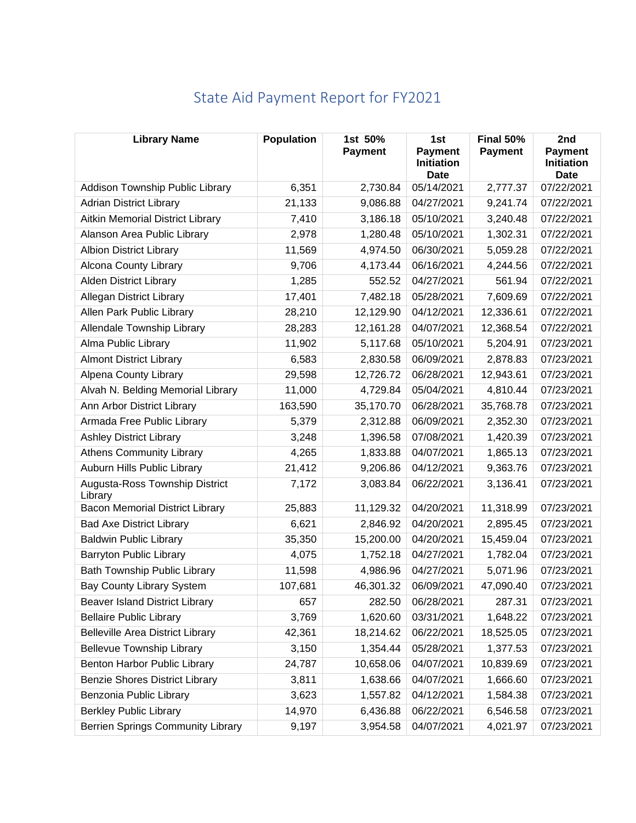| <b>Library Name</b>                       | <b>Population</b> | 1st 50%<br><b>Payment</b> | 1st<br><b>Payment</b><br><b>Initiation</b><br><b>Date</b> | Final 50%<br><b>Payment</b> | 2nd<br><b>Payment</b><br><b>Initiation</b><br><b>Date</b> |
|-------------------------------------------|-------------------|---------------------------|-----------------------------------------------------------|-----------------------------|-----------------------------------------------------------|
| Addison Township Public Library           | 6,351             | 2,730.84                  | 05/14/2021                                                | 2,777.37                    | 07/22/2021                                                |
| <b>Adrian District Library</b>            | 21,133            | 9,086.88                  | 04/27/2021                                                | 9,241.74                    | 07/22/2021                                                |
| Aitkin Memorial District Library          | 7,410             | 3,186.18                  | 05/10/2021                                                | 3,240.48                    | 07/22/2021                                                |
| Alanson Area Public Library               | 2,978             | 1,280.48                  | 05/10/2021                                                | 1,302.31                    | 07/22/2021                                                |
| <b>Albion District Library</b>            | 11,569            | 4,974.50                  | 06/30/2021                                                | 5,059.28                    | 07/22/2021                                                |
| Alcona County Library                     | 9,706             | 4,173.44                  | 06/16/2021                                                | 4,244.56                    | 07/22/2021                                                |
| <b>Alden District Library</b>             | 1,285             | 552.52                    | 04/27/2021                                                | 561.94                      | 07/22/2021                                                |
| <b>Allegan District Library</b>           | 17,401            | 7,482.18                  | 05/28/2021                                                | 7,609.69                    | 07/22/2021                                                |
| Allen Park Public Library                 | 28,210            | 12,129.90                 | 04/12/2021                                                | 12,336.61                   | 07/22/2021                                                |
| Allendale Township Library                | 28,283            | 12,161.28                 | 04/07/2021                                                | 12,368.54                   | 07/22/2021                                                |
| Alma Public Library                       | 11,902            | 5,117.68                  | 05/10/2021                                                | 5,204.91                    | 07/23/2021                                                |
| <b>Almont District Library</b>            | 6,583             | 2,830.58                  | 06/09/2021                                                | 2,878.83                    | 07/23/2021                                                |
| Alpena County Library                     | 29,598            | 12,726.72                 | 06/28/2021                                                | 12,943.61                   | 07/23/2021                                                |
| Alvah N. Belding Memorial Library         | 11,000            | 4,729.84                  | 05/04/2021                                                | 4,810.44                    | 07/23/2021                                                |
| Ann Arbor District Library                | 163,590           | 35,170.70                 | 06/28/2021                                                | 35,768.78                   | 07/23/2021                                                |
| Armada Free Public Library                | 5,379             | 2,312.88                  | 06/09/2021                                                | 2,352.30                    | 07/23/2021                                                |
| <b>Ashley District Library</b>            | 3,248             | 1,396.58                  | 07/08/2021                                                | 1,420.39                    | 07/23/2021                                                |
| <b>Athens Community Library</b>           | 4,265             | 1,833.88                  | 04/07/2021                                                | 1,865.13                    | 07/23/2021                                                |
| Auburn Hills Public Library               | 21,412            | 9,206.86                  | 04/12/2021                                                | 9,363.76                    | 07/23/2021                                                |
| Augusta-Ross Township District<br>Library | 7,172             | 3,083.84                  | 06/22/2021                                                | 3,136.41                    | 07/23/2021                                                |
| <b>Bacon Memorial District Library</b>    | 25,883            | 11,129.32                 | 04/20/2021                                                | 11,318.99                   | 07/23/2021                                                |
| <b>Bad Axe District Library</b>           | 6,621             | 2,846.92                  | 04/20/2021                                                | 2,895.45                    | 07/23/2021                                                |
| <b>Baldwin Public Library</b>             | 35,350            | 15,200.00                 | 04/20/2021                                                | 15,459.04                   | 07/23/2021                                                |
| <b>Barryton Public Library</b>            | 4,075             | 1,752.18                  | 04/27/2021                                                | 1,782.04                    | 07/23/2021                                                |
| <b>Bath Township Public Library</b>       | 11,598            | 4,986.96                  | 04/27/2021                                                | 5,071.96                    | 07/23/2021                                                |
| <b>Bay County Library System</b>          | 107,681           | 46,301.32                 | 06/09/2021                                                | 47,090.40                   | 07/23/2021                                                |
| <b>Beaver Island District Library</b>     | 657               | 282.50                    | 06/28/2021                                                | 287.31                      | 07/23/2021                                                |
| <b>Bellaire Public Library</b>            | 3,769             | 1,620.60                  | 03/31/2021                                                | 1,648.22                    | 07/23/2021                                                |
| <b>Belleville Area District Library</b>   | 42,361            | 18,214.62                 | 06/22/2021                                                | 18,525.05                   | 07/23/2021                                                |
| <b>Bellevue Township Library</b>          | 3,150             | 1,354.44                  | 05/28/2021                                                | 1,377.53                    | 07/23/2021                                                |
| Benton Harbor Public Library              | 24,787            | 10,658.06                 | 04/07/2021                                                | 10,839.69                   | 07/23/2021                                                |
| <b>Benzie Shores District Library</b>     | 3,811             | 1,638.66                  | 04/07/2021                                                | 1,666.60                    | 07/23/2021                                                |
| Benzonia Public Library                   | 3,623             | 1,557.82                  | 04/12/2021                                                | 1,584.38                    | 07/23/2021                                                |
| <b>Berkley Public Library</b>             | 14,970            | 6,436.88                  | 06/22/2021                                                | 6,546.58                    | 07/23/2021                                                |
| <b>Berrien Springs Community Library</b>  | 9,197             | 3,954.58                  | 04/07/2021                                                | 4,021.97                    | 07/23/2021                                                |

## State Aid Payment Report for FY2021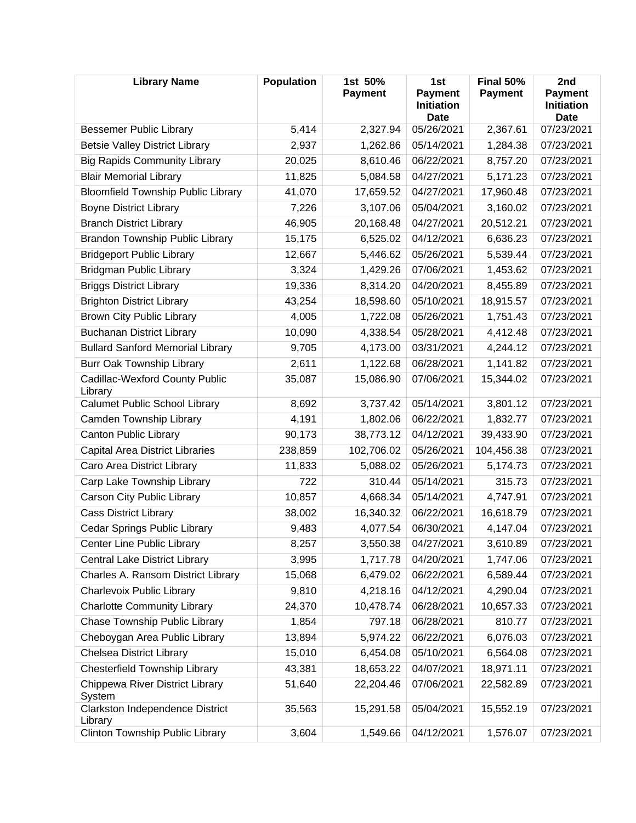| <b>Library Name</b>                        | <b>Population</b> | 1st 50%<br><b>Payment</b> | 1st<br><b>Payment</b><br><b>Initiation</b><br><b>Date</b> | Final 50%<br><b>Payment</b> | 2nd<br><b>Payment</b><br><b>Initiation</b><br><b>Date</b> |
|--------------------------------------------|-------------------|---------------------------|-----------------------------------------------------------|-----------------------------|-----------------------------------------------------------|
| <b>Bessemer Public Library</b>             | 5,414             | 2,327.94                  | 05/26/2021                                                | 2,367.61                    | 07/23/2021                                                |
| <b>Betsie Valley District Library</b>      | 2,937             | 1,262.86                  | 05/14/2021                                                | 1,284.38                    | 07/23/2021                                                |
| <b>Big Rapids Community Library</b>        | 20,025            | 8,610.46                  | 06/22/2021                                                | 8,757.20                    | 07/23/2021                                                |
| <b>Blair Memorial Library</b>              | 11,825            | 5,084.58                  | 04/27/2021                                                | 5,171.23                    | 07/23/2021                                                |
| <b>Bloomfield Township Public Library</b>  | 41,070            | 17,659.52                 | 04/27/2021                                                | 17,960.48                   | 07/23/2021                                                |
| <b>Boyne District Library</b>              | 7,226             | 3,107.06                  | 05/04/2021                                                | 3,160.02                    | 07/23/2021                                                |
| <b>Branch District Library</b>             | 46,905            | 20,168.48                 | 04/27/2021                                                | 20,512.21                   | 07/23/2021                                                |
| Brandon Township Public Library            | 15,175            | 6,525.02                  | 04/12/2021                                                | 6,636.23                    | 07/23/2021                                                |
| <b>Bridgeport Public Library</b>           | 12,667            | 5,446.62                  | 05/26/2021                                                | 5,539.44                    | 07/23/2021                                                |
| <b>Bridgman Public Library</b>             | 3,324             | 1,429.26                  | 07/06/2021                                                | 1,453.62                    | 07/23/2021                                                |
| <b>Briggs District Library</b>             | 19,336            | 8,314.20                  | 04/20/2021                                                | 8,455.89                    | 07/23/2021                                                |
| <b>Brighton District Library</b>           | 43,254            | 18,598.60                 | 05/10/2021                                                | 18,915.57                   | 07/23/2021                                                |
| <b>Brown City Public Library</b>           | 4,005             | 1,722.08                  | 05/26/2021                                                | 1,751.43                    | 07/23/2021                                                |
| <b>Buchanan District Library</b>           | 10,090            | 4,338.54                  | 05/28/2021                                                | 4,412.48                    | 07/23/2021                                                |
| <b>Bullard Sanford Memorial Library</b>    | 9,705             | 4,173.00                  | 03/31/2021                                                | 4,244.12                    | 07/23/2021                                                |
| Burr Oak Township Library                  | 2,611             | 1,122.68                  | 06/28/2021                                                | 1,141.82                    | 07/23/2021                                                |
| Cadillac-Wexford County Public<br>Library  | 35,087            | 15,086.90                 | 07/06/2021                                                | 15,344.02                   | 07/23/2021                                                |
| <b>Calumet Public School Library</b>       | 8,692             | 3,737.42                  | 05/14/2021                                                | 3,801.12                    | 07/23/2021                                                |
| Camden Township Library                    | 4,191             | 1,802.06                  | 06/22/2021                                                | 1,832.77                    | 07/23/2021                                                |
| Canton Public Library                      | 90,173            | 38,773.12                 | 04/12/2021                                                | 39,433.90                   | 07/23/2021                                                |
| <b>Capital Area District Libraries</b>     | 238,859           | 102,706.02                | 05/26/2021                                                | 104,456.38                  | 07/23/2021                                                |
| Caro Area District Library                 | 11,833            | 5,088.02                  | 05/26/2021                                                | 5,174.73                    | 07/23/2021                                                |
| Carp Lake Township Library                 | 722               | 310.44                    | 05/14/2021                                                | 315.73                      | 07/23/2021                                                |
| Carson City Public Library                 | 10,857            | 4,668.34                  | 05/14/2021                                                | 4,747.91                    | 07/23/2021                                                |
| <b>Cass District Library</b>               | 38,002            | 16,340.32                 | 06/22/2021                                                | 16,618.79                   | 07/23/2021                                                |
| Cedar Springs Public Library               | 9,483             | 4,077.54                  | 06/30/2021                                                | 4,147.04                    | 07/23/2021                                                |
| Center Line Public Library                 | 8,257             | 3,550.38                  | 04/27/2021                                                | 3,610.89                    | 07/23/2021                                                |
| <b>Central Lake District Library</b>       | 3,995             | 1,717.78                  | 04/20/2021                                                | 1,747.06                    | 07/23/2021                                                |
| Charles A. Ransom District Library         | 15,068            | 6,479.02                  | 06/22/2021                                                | 6,589.44                    | 07/23/2021                                                |
| Charlevoix Public Library                  | 9,810             | 4,218.16                  | 04/12/2021                                                | 4,290.04                    | 07/23/2021                                                |
| <b>Charlotte Community Library</b>         | 24,370            | 10,478.74                 | 06/28/2021                                                | 10,657.33                   | 07/23/2021                                                |
| Chase Township Public Library              | 1,854             | 797.18                    | 06/28/2021                                                | 810.77                      | 07/23/2021                                                |
| Cheboygan Area Public Library              | 13,894            | 5,974.22                  | 06/22/2021                                                | 6,076.03                    | 07/23/2021                                                |
| <b>Chelsea District Library</b>            | 15,010            | 6,454.08                  | 05/10/2021                                                | 6,564.08                    | 07/23/2021                                                |
| <b>Chesterfield Township Library</b>       | 43,381            | 18,653.22                 | 04/07/2021                                                | 18,971.11                   | 07/23/2021                                                |
| Chippewa River District Library<br>System  | 51,640            | 22,204.46                 | 07/06/2021                                                | 22,582.89                   | 07/23/2021                                                |
| Clarkston Independence District<br>Library | 35,563            | 15,291.58                 | 05/04/2021                                                | 15,552.19                   | 07/23/2021                                                |
| Clinton Township Public Library            | 3,604             | 1,549.66                  | 04/12/2021                                                | 1,576.07                    | 07/23/2021                                                |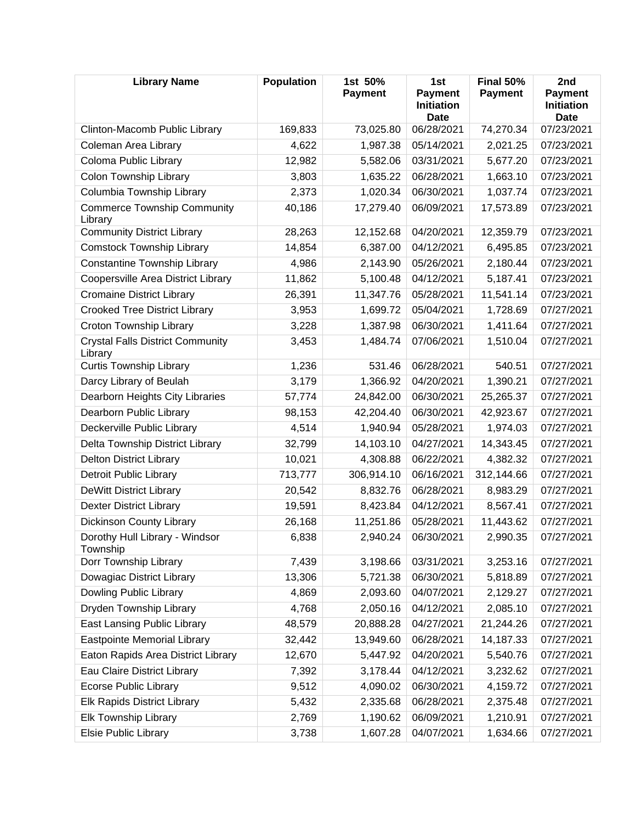| <b>Library Name</b>                                | <b>Population</b> | 1st 50%<br><b>Payment</b> | 1st<br><b>Payment</b><br><b>Initiation</b><br><b>Date</b> | <b>Final 50%</b><br><b>Payment</b> | 2nd<br><b>Payment</b><br><b>Initiation</b><br>Date |
|----------------------------------------------------|-------------------|---------------------------|-----------------------------------------------------------|------------------------------------|----------------------------------------------------|
| Clinton-Macomb Public Library                      | 169,833           | 73,025.80                 | 06/28/2021                                                | 74,270.34                          | 07/23/2021                                         |
| Coleman Area Library                               | 4,622             | 1,987.38                  | 05/14/2021                                                | 2,021.25                           | 07/23/2021                                         |
| Coloma Public Library                              | 12,982            | 5,582.06                  | 03/31/2021                                                | 5,677.20                           | 07/23/2021                                         |
| Colon Township Library                             | 3,803             | 1,635.22                  | 06/28/2021                                                | 1,663.10                           | 07/23/2021                                         |
| Columbia Township Library                          | 2,373             | 1,020.34                  | 06/30/2021                                                | 1,037.74                           | 07/23/2021                                         |
| <b>Commerce Township Community</b><br>Library      | 40,186            | 17,279.40                 | 06/09/2021                                                | 17,573.89                          | 07/23/2021                                         |
| <b>Community District Library</b>                  | 28,263            | 12,152.68                 | 04/20/2021                                                | 12,359.79                          | 07/23/2021                                         |
| <b>Comstock Township Library</b>                   | 14,854            | 6,387.00                  | 04/12/2021                                                | 6,495.85                           | 07/23/2021                                         |
| <b>Constantine Township Library</b>                | 4,986             | 2,143.90                  | 05/26/2021                                                | 2,180.44                           | 07/23/2021                                         |
| Coopersville Area District Library                 | 11,862            | 5,100.48                  | 04/12/2021                                                | 5,187.41                           | 07/23/2021                                         |
| <b>Cromaine District Library</b>                   | 26,391            | 11,347.76                 | 05/28/2021                                                | 11,541.14                          | 07/23/2021                                         |
| <b>Crooked Tree District Library</b>               | 3,953             | 1,699.72                  | 05/04/2021                                                | 1,728.69                           | 07/27/2021                                         |
| Croton Township Library                            | 3,228             | 1,387.98                  | 06/30/2021                                                | 1,411.64                           | 07/27/2021                                         |
| <b>Crystal Falls District Community</b><br>Library | 3,453             | 1,484.74                  | 07/06/2021                                                | 1,510.04                           | 07/27/2021                                         |
| <b>Curtis Township Library</b>                     | 1,236             | 531.46                    | 06/28/2021                                                | 540.51                             | 07/27/2021                                         |
| Darcy Library of Beulah                            | 3,179             | 1,366.92                  | 04/20/2021                                                | 1,390.21                           | 07/27/2021                                         |
| Dearborn Heights City Libraries                    | 57,774            | 24,842.00                 | 06/30/2021                                                | 25,265.37                          | 07/27/2021                                         |
| Dearborn Public Library                            | 98,153            | 42,204.40                 | 06/30/2021                                                | 42,923.67                          | 07/27/2021                                         |
| Deckerville Public Library                         | 4,514             | 1,940.94                  | 05/28/2021                                                | 1,974.03                           | 07/27/2021                                         |
| Delta Township District Library                    | 32,799            | 14,103.10                 | 04/27/2021                                                | 14,343.45                          | 07/27/2021                                         |
| <b>Delton District Library</b>                     | 10,021            | 4,308.88                  | 06/22/2021                                                | 4,382.32                           | 07/27/2021                                         |
| <b>Detroit Public Library</b>                      | 713,777           | 306,914.10                | 06/16/2021                                                | 312,144.66                         | 07/27/2021                                         |
| <b>DeWitt District Library</b>                     | 20,542            | 8,832.76                  | 06/28/2021                                                | 8,983.29                           | 07/27/2021                                         |
| <b>Dexter District Library</b>                     | 19,591            | 8,423.84                  | 04/12/2021                                                | 8,567.41                           | 07/27/2021                                         |
| <b>Dickinson County Library</b>                    | 26,168            | 11,251.86                 | 05/28/2021                                                | 11,443.62                          | 07/27/2021                                         |
| Dorothy Hull Library - Windsor<br>Township         | 6,838             | 2,940.24                  | 06/30/2021                                                | 2,990.35                           | 07/27/2021                                         |
| Dorr Township Library                              | 7,439             | 3,198.66                  | 03/31/2021                                                | 3,253.16                           | 07/27/2021                                         |
| Dowagiac District Library                          | 13,306            | 5,721.38                  | 06/30/2021                                                | 5,818.89                           | 07/27/2021                                         |
| Dowling Public Library                             | 4,869             | 2,093.60                  | 04/07/2021                                                | 2,129.27                           | 07/27/2021                                         |
| Dryden Township Library                            | 4,768             | 2,050.16                  | 04/12/2021                                                | 2,085.10                           | 07/27/2021                                         |
| <b>East Lansing Public Library</b>                 | 48,579            | 20,888.28                 | 04/27/2021                                                | 21,244.26                          | 07/27/2021                                         |
| <b>Eastpointe Memorial Library</b>                 | 32,442            | 13,949.60                 | 06/28/2021                                                | 14,187.33                          | 07/27/2021                                         |
| Eaton Rapids Area District Library                 | 12,670            | 5,447.92                  | 04/20/2021                                                | 5,540.76                           | 07/27/2021                                         |
| Eau Claire District Library                        | 7,392             | 3,178.44                  | 04/12/2021                                                | 3,232.62                           | 07/27/2021                                         |
| <b>Ecorse Public Library</b>                       | 9,512             | 4,090.02                  | 06/30/2021                                                | 4,159.72                           | 07/27/2021                                         |
| Elk Rapids District Library                        | 5,432             | 2,335.68                  | 06/28/2021                                                | 2,375.48                           | 07/27/2021                                         |
| <b>Elk Township Library</b>                        | 2,769             | 1,190.62                  | 06/09/2021                                                | 1,210.91                           | 07/27/2021                                         |
| Elsie Public Library                               | 3,738             | 1,607.28                  | 04/07/2021                                                | 1,634.66                           | 07/27/2021                                         |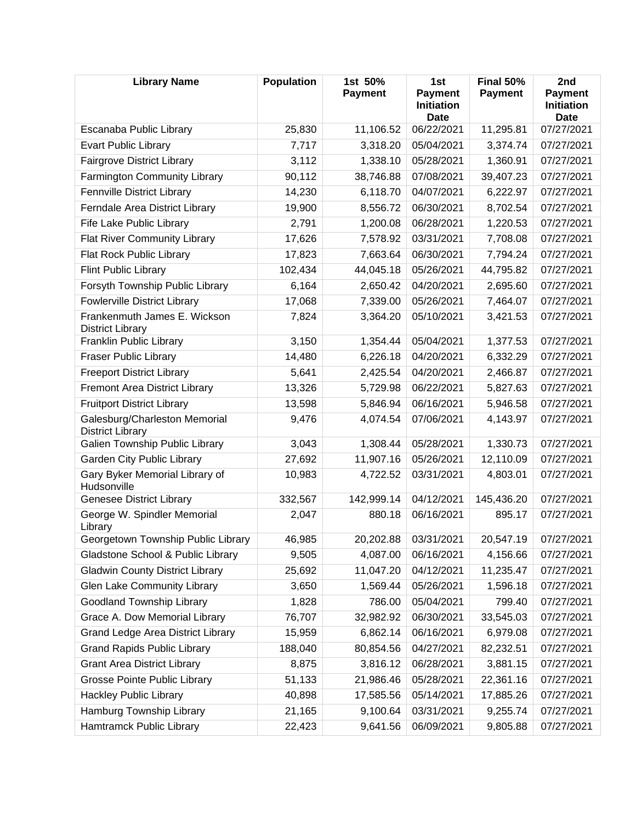| <b>Library Name</b>                                      | <b>Population</b> | 1st 50%<br><b>Payment</b> | 1st<br><b>Payment</b><br><b>Initiation</b><br><b>Date</b> | Final 50%<br><b>Payment</b> | 2nd<br><b>Payment</b><br><b>Initiation</b><br>Date |
|----------------------------------------------------------|-------------------|---------------------------|-----------------------------------------------------------|-----------------------------|----------------------------------------------------|
| Escanaba Public Library                                  | 25,830            | 11,106.52                 | 06/22/2021                                                | 11,295.81                   | 07/27/2021                                         |
| <b>Evart Public Library</b>                              | 7,717             | 3,318.20                  | 05/04/2021                                                | 3,374.74                    | 07/27/2021                                         |
| <b>Fairgrove District Library</b>                        | 3,112             | 1,338.10                  | 05/28/2021                                                | 1,360.91                    | 07/27/2021                                         |
| Farmington Community Library                             | 90,112            | 38,746.88                 | 07/08/2021                                                | 39,407.23                   | 07/27/2021                                         |
| <b>Fennville District Library</b>                        | 14,230            | 6,118.70                  | 04/07/2021                                                | 6,222.97                    | 07/27/2021                                         |
| Ferndale Area District Library                           | 19,900            | 8,556.72                  | 06/30/2021                                                | 8,702.54                    | 07/27/2021                                         |
| Fife Lake Public Library                                 | 2,791             | 1,200.08                  | 06/28/2021                                                | 1,220.53                    | 07/27/2021                                         |
| <b>Flat River Community Library</b>                      | 17,626            | 7,578.92                  | 03/31/2021                                                | 7,708.08                    | 07/27/2021                                         |
| Flat Rock Public Library                                 | 17,823            | 7,663.64                  | 06/30/2021                                                | 7,794.24                    | 07/27/2021                                         |
| <b>Flint Public Library</b>                              | 102,434           | 44,045.18                 | 05/26/2021                                                | 44,795.82                   | 07/27/2021                                         |
| Forsyth Township Public Library                          | 6,164             | 2,650.42                  | 04/20/2021                                                | 2,695.60                    | 07/27/2021                                         |
| <b>Fowlerville District Library</b>                      | 17,068            | 7,339.00                  | 05/26/2021                                                | 7,464.07                    | 07/27/2021                                         |
| Frankenmuth James E. Wickson<br><b>District Library</b>  | 7,824             | 3,364.20                  | 05/10/2021                                                | 3,421.53                    | 07/27/2021                                         |
| Franklin Public Library                                  | 3,150             | 1,354.44                  | 05/04/2021                                                | 1,377.53                    | 07/27/2021                                         |
| <b>Fraser Public Library</b>                             | 14,480            | 6,226.18                  | 04/20/2021                                                | 6,332.29                    | 07/27/2021                                         |
| <b>Freeport District Library</b>                         | 5,641             | 2,425.54                  | 04/20/2021                                                | 2,466.87                    | 07/27/2021                                         |
| <b>Fremont Area District Library</b>                     | 13,326            | 5,729.98                  | 06/22/2021                                                | 5,827.63                    | 07/27/2021                                         |
| <b>Fruitport District Library</b>                        | 13,598            | 5,846.94                  | 06/16/2021                                                | 5,946.58                    | 07/27/2021                                         |
| Galesburg/Charleston Memorial<br><b>District Library</b> | 9,476             | 4,074.54                  | 07/06/2021                                                | 4,143.97                    | 07/27/2021                                         |
| Galien Township Public Library                           | 3,043             | 1,308.44                  | 05/28/2021                                                | 1,330.73                    | 07/27/2021                                         |
| Garden City Public Library                               | 27,692            | 11,907.16                 | 05/26/2021                                                | 12,110.09                   | 07/27/2021                                         |
| Gary Byker Memorial Library of<br>Hudsonville            | 10,983            | 4,722.52                  | 03/31/2021                                                | 4,803.01                    | 07/27/2021                                         |
| <b>Genesee District Library</b>                          | 332,567           | 142,999.14                | 04/12/2021                                                | 145,436.20                  | 07/27/2021                                         |
| George W. Spindler Memorial<br>Library                   | 2,047             | 880.18                    | 06/16/2021                                                | 895.17                      | 07/27/2021                                         |
| Georgetown Township Public Library                       | 46,985            | 20,202.88                 | 03/31/2021                                                | 20,547.19                   | 07/27/2021                                         |
| Gladstone School & Public Library                        | 9,505             | 4,087.00                  | 06/16/2021                                                | 4,156.66                    | 07/27/2021                                         |
| <b>Gladwin County District Library</b>                   | 25,692            | 11,047.20                 | 04/12/2021                                                | 11,235.47                   | 07/27/2021                                         |
| <b>Glen Lake Community Library</b>                       | 3,650             | 1,569.44                  | 05/26/2021                                                | 1,596.18                    | 07/27/2021                                         |
| <b>Goodland Township Library</b>                         | 1,828             | 786.00                    | 05/04/2021                                                | 799.40                      | 07/27/2021                                         |
| Grace A. Dow Memorial Library                            | 76,707            | 32,982.92                 | 06/30/2021                                                | 33,545.03                   | 07/27/2021                                         |
| <b>Grand Ledge Area District Library</b>                 | 15,959            | 6,862.14                  | 06/16/2021                                                | 6,979.08                    | 07/27/2021                                         |
| <b>Grand Rapids Public Library</b>                       | 188,040           | 80,854.56                 | 04/27/2021                                                | 82,232.51                   | 07/27/2021                                         |
| <b>Grant Area District Library</b>                       | 8,875             | 3,816.12                  | 06/28/2021                                                | 3,881.15                    | 07/27/2021                                         |
| <b>Grosse Pointe Public Library</b>                      | 51,133            | 21,986.46                 | 05/28/2021                                                | 22,361.16                   | 07/27/2021                                         |
| <b>Hackley Public Library</b>                            | 40,898            | 17,585.56                 | 05/14/2021                                                | 17,885.26                   | 07/27/2021                                         |
| Hamburg Township Library                                 | 21,165            | 9,100.64                  | 03/31/2021                                                | 9,255.74                    | 07/27/2021                                         |
| Hamtramck Public Library                                 | 22,423            | 9,641.56                  | 06/09/2021                                                | 9,805.88                    | 07/27/2021                                         |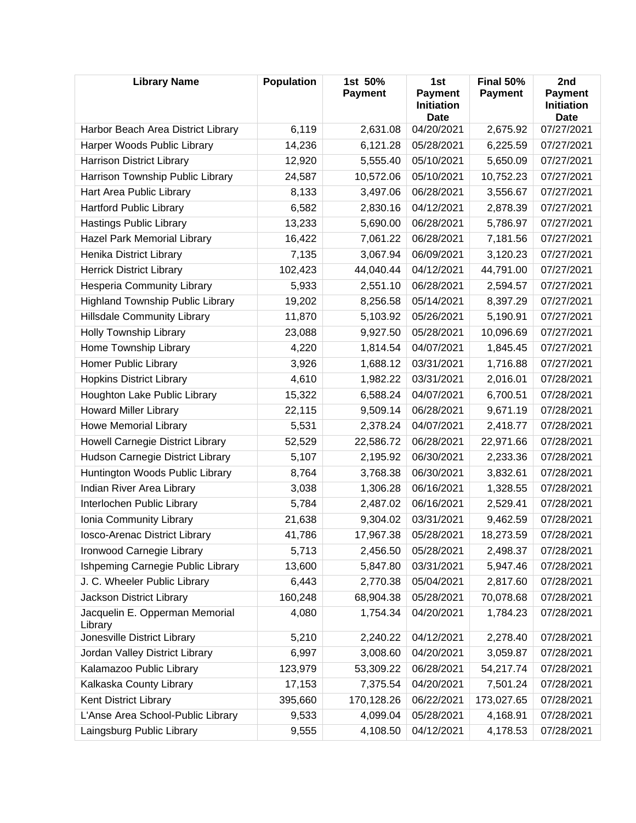| <b>Library Name</b>                       | <b>Population</b> | 1st 50%<br><b>Payment</b> | 1st<br><b>Payment</b><br><b>Initiation</b><br><b>Date</b> | Final 50%<br><b>Payment</b> | 2nd<br><b>Payment</b><br><b>Initiation</b><br><b>Date</b> |
|-------------------------------------------|-------------------|---------------------------|-----------------------------------------------------------|-----------------------------|-----------------------------------------------------------|
| Harbor Beach Area District Library        | 6,119             | 2,631.08                  | 04/20/2021                                                | 2,675.92                    | 07/27/2021                                                |
| Harper Woods Public Library               | 14,236            | 6,121.28                  | 05/28/2021                                                | 6,225.59                    | 07/27/2021                                                |
| <b>Harrison District Library</b>          | 12,920            | 5,555.40                  | 05/10/2021                                                | 5,650.09                    | 07/27/2021                                                |
| Harrison Township Public Library          | 24,587            | 10,572.06                 | 05/10/2021                                                | 10,752.23                   | 07/27/2021                                                |
| Hart Area Public Library                  | 8,133             | 3,497.06                  | 06/28/2021                                                | 3,556.67                    | 07/27/2021                                                |
| <b>Hartford Public Library</b>            | 6,582             | 2,830.16                  | 04/12/2021                                                | 2,878.39                    | 07/27/2021                                                |
| <b>Hastings Public Library</b>            | 13,233            | 5,690.00                  | 06/28/2021                                                | 5,786.97                    | 07/27/2021                                                |
| Hazel Park Memorial Library               | 16,422            | 7,061.22                  | 06/28/2021                                                | 7,181.56                    | 07/27/2021                                                |
| Henika District Library                   | 7,135             | 3,067.94                  | 06/09/2021                                                | 3,120.23                    | 07/27/2021                                                |
| <b>Herrick District Library</b>           | 102,423           | 44,040.44                 | 04/12/2021                                                | 44,791.00                   | 07/27/2021                                                |
| <b>Hesperia Community Library</b>         | 5,933             | 2,551.10                  | 06/28/2021                                                | 2,594.57                    | 07/27/2021                                                |
| <b>Highland Township Public Library</b>   | 19,202            | 8,256.58                  | 05/14/2021                                                | 8,397.29                    | 07/27/2021                                                |
| <b>Hillsdale Community Library</b>        | 11,870            | 5,103.92                  | 05/26/2021                                                | 5,190.91                    | 07/27/2021                                                |
| Holly Township Library                    | 23,088            | 9,927.50                  | 05/28/2021                                                | 10,096.69                   | 07/27/2021                                                |
| Home Township Library                     | 4,220             | 1,814.54                  | 04/07/2021                                                | 1,845.45                    | 07/27/2021                                                |
| Homer Public Library                      | 3,926             | 1,688.12                  | 03/31/2021                                                | 1,716.88                    | 07/27/2021                                                |
| <b>Hopkins District Library</b>           | 4,610             | 1,982.22                  | 03/31/2021                                                | 2,016.01                    | 07/28/2021                                                |
| Houghton Lake Public Library              | 15,322            | 6,588.24                  | 04/07/2021                                                | 6,700.51                    | 07/28/2021                                                |
| <b>Howard Miller Library</b>              | 22,115            | 9,509.14                  | 06/28/2021                                                | 9,671.19                    | 07/28/2021                                                |
| <b>Howe Memorial Library</b>              | 5,531             | 2,378.24                  | 04/07/2021                                                | 2,418.77                    | 07/28/2021                                                |
| Howell Carnegie District Library          | 52,529            | 22,586.72                 | 06/28/2021                                                | 22,971.66                   | 07/28/2021                                                |
| Hudson Carnegie District Library          | 5,107             | 2,195.92                  | 06/30/2021                                                | 2,233.36                    | 07/28/2021                                                |
| Huntington Woods Public Library           | 8,764             | 3,768.38                  | 06/30/2021                                                | 3,832.61                    | 07/28/2021                                                |
| Indian River Area Library                 | 3,038             | 1,306.28                  | 06/16/2021                                                | 1,328.55                    | 07/28/2021                                                |
| Interlochen Public Library                | 5,784             | 2,487.02                  | 06/16/2021                                                | 2,529.41                    | 07/28/2021                                                |
| Ionia Community Library                   | 21,638            | 9,304.02                  | 03/31/2021                                                | 9,462.59                    | 07/28/2021                                                |
| Iosco-Arenac District Library             | 41,786            | 17,967.38                 | 05/28/2021                                                | 18,273.59                   | 07/28/2021                                                |
| Ironwood Carnegie Library                 | 5,713             | 2,456.50                  | 05/28/2021                                                | 2,498.37                    | 07/28/2021                                                |
| Ishpeming Carnegie Public Library         | 13,600            | 5,847.80                  | 03/31/2021                                                | 5,947.46                    | 07/28/2021                                                |
| J. C. Wheeler Public Library              | 6,443             | 2,770.38                  | 05/04/2021                                                | 2,817.60                    | 07/28/2021                                                |
| Jackson District Library                  | 160,248           | 68,904.38                 | 05/28/2021                                                | 70,078.68                   | 07/28/2021                                                |
| Jacquelin E. Opperman Memorial<br>Library | 4,080             | 1,754.34                  | 04/20/2021                                                | 1,784.23                    | 07/28/2021                                                |
| Jonesville District Library               | 5,210             | 2,240.22                  | 04/12/2021                                                | 2,278.40                    | 07/28/2021                                                |
| Jordan Valley District Library            | 6,997             | 3,008.60                  | 04/20/2021                                                | 3,059.87                    | 07/28/2021                                                |
| Kalamazoo Public Library                  | 123,979           | 53,309.22                 | 06/28/2021                                                | 54,217.74                   | 07/28/2021                                                |
| Kalkaska County Library                   | 17,153            | 7,375.54                  | 04/20/2021                                                | 7,501.24                    | 07/28/2021                                                |
| Kent District Library                     | 395,660           | 170,128.26                | 06/22/2021                                                | 173,027.65                  | 07/28/2021                                                |
| L'Anse Area School-Public Library         | 9,533             | 4,099.04                  | 05/28/2021                                                | 4,168.91                    | 07/28/2021                                                |
| Laingsburg Public Library                 | 9,555             | 4,108.50                  | 04/12/2021                                                | 4,178.53                    | 07/28/2021                                                |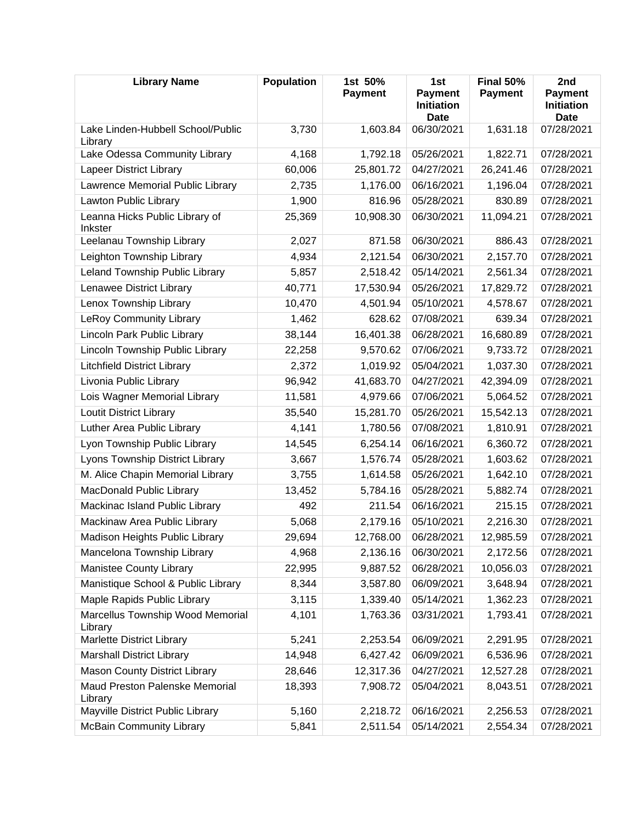| <b>Library Name</b>                          | Population | 1st 50%<br><b>Payment</b> | 1st<br><b>Payment</b><br><b>Initiation</b><br><b>Date</b> | Final 50%<br><b>Payment</b> | 2nd<br><b>Payment</b><br><b>Initiation</b><br><b>Date</b> |
|----------------------------------------------|------------|---------------------------|-----------------------------------------------------------|-----------------------------|-----------------------------------------------------------|
| Lake Linden-Hubbell School/Public<br>Library | 3,730      | 1,603.84                  | 06/30/2021                                                | 1,631.18                    | 07/28/2021                                                |
| Lake Odessa Community Library                | 4,168      | 1,792.18                  | 05/26/2021                                                | 1,822.71                    | 07/28/2021                                                |
| Lapeer District Library                      | 60,006     | 25,801.72                 | 04/27/2021                                                | 26,241.46                   | 07/28/2021                                                |
| Lawrence Memorial Public Library             | 2,735      | 1,176.00                  | 06/16/2021                                                | 1,196.04                    | 07/28/2021                                                |
| Lawton Public Library                        | 1,900      | 816.96                    | 05/28/2021                                                | 830.89                      | 07/28/2021                                                |
| Leanna Hicks Public Library of<br>Inkster    | 25,369     | 10,908.30                 | 06/30/2021                                                | 11,094.21                   | 07/28/2021                                                |
| Leelanau Township Library                    | 2,027      | 871.58                    | 06/30/2021                                                | 886.43                      | 07/28/2021                                                |
| Leighton Township Library                    | 4,934      | 2,121.54                  | 06/30/2021                                                | 2,157.70                    | 07/28/2021                                                |
| Leland Township Public Library               | 5,857      | 2,518.42                  | 05/14/2021                                                | 2,561.34                    | 07/28/2021                                                |
| Lenawee District Library                     | 40,771     | 17,530.94                 | 05/26/2021                                                | 17,829.72                   | 07/28/2021                                                |
| Lenox Township Library                       | 10,470     | 4,501.94                  | 05/10/2021                                                | 4,578.67                    | 07/28/2021                                                |
| <b>LeRoy Community Library</b>               | 1,462      | 628.62                    | 07/08/2021                                                | 639.34                      | 07/28/2021                                                |
| Lincoln Park Public Library                  | 38,144     | 16,401.38                 | 06/28/2021                                                | 16,680.89                   | 07/28/2021                                                |
| Lincoln Township Public Library              | 22,258     | 9,570.62                  | 07/06/2021                                                | 9,733.72                    | 07/28/2021                                                |
| <b>Litchfield District Library</b>           | 2,372      | 1,019.92                  | 05/04/2021                                                | 1,037.30                    | 07/28/2021                                                |
| Livonia Public Library                       | 96,942     | 41,683.70                 | 04/27/2021                                                | 42,394.09                   | 07/28/2021                                                |
| Lois Wagner Memorial Library                 | 11,581     | 4,979.66                  | 07/06/2021                                                | 5,064.52                    | 07/28/2021                                                |
| <b>Loutit District Library</b>               | 35,540     | 15,281.70                 | 05/26/2021                                                | 15,542.13                   | 07/28/2021                                                |
| Luther Area Public Library                   | 4,141      | 1,780.56                  | 07/08/2021                                                | 1,810.91                    | 07/28/2021                                                |
| Lyon Township Public Library                 | 14,545     | 6,254.14                  | 06/16/2021                                                | 6,360.72                    | 07/28/2021                                                |
| Lyons Township District Library              | 3,667      | 1,576.74                  | 05/28/2021                                                | 1,603.62                    | 07/28/2021                                                |
| M. Alice Chapin Memorial Library             | 3,755      | 1,614.58                  | 05/26/2021                                                | 1,642.10                    | 07/28/2021                                                |
| <b>MacDonald Public Library</b>              | 13,452     | 5,784.16                  | 05/28/2021                                                | 5,882.74                    | 07/28/2021                                                |
| Mackinac Island Public Library               | 492        | 211.54                    | 06/16/2021                                                | 215.15                      | 07/28/2021                                                |
| Mackinaw Area Public Library                 | 5,068      | 2,179.16                  | 05/10/2021                                                | 2,216.30                    | 07/28/2021                                                |
| Madison Heights Public Library               | 29,694     | 12,768.00                 | 06/28/2021                                                | 12,985.59                   | 07/28/2021                                                |
| Mancelona Township Library                   | 4,968      | 2,136.16                  | 06/30/2021                                                | 2,172.56                    | 07/28/2021                                                |
| Manistee County Library                      | 22,995     | 9,887.52                  | 06/28/2021                                                | 10,056.03                   | 07/28/2021                                                |
| Manistique School & Public Library           | 8,344      | 3,587.80                  | 06/09/2021                                                | 3,648.94                    | 07/28/2021                                                |
| Maple Rapids Public Library                  | 3,115      | 1,339.40                  | 05/14/2021                                                | 1,362.23                    | 07/28/2021                                                |
| Marcellus Township Wood Memorial<br>Library  | 4,101      | 1,763.36                  | 03/31/2021                                                | 1,793.41                    | 07/28/2021                                                |
| Marlette District Library                    | 5,241      | 2,253.54                  | 06/09/2021                                                | 2,291.95                    | 07/28/2021                                                |
| <b>Marshall District Library</b>             | 14,948     | 6,427.42                  | 06/09/2021                                                | 6,536.96                    | 07/28/2021                                                |
| <b>Mason County District Library</b>         | 28,646     | 12,317.36                 | 04/27/2021                                                | 12,527.28                   | 07/28/2021                                                |
| Maud Preston Palenske Memorial<br>Library    | 18,393     | 7,908.72                  | 05/04/2021                                                | 8,043.51                    | 07/28/2021                                                |
| Mayville District Public Library             | 5,160      | 2,218.72                  | 06/16/2021                                                | 2,256.53                    | 07/28/2021                                                |
| <b>McBain Community Library</b>              | 5,841      | 2,511.54                  | 05/14/2021                                                | 2,554.34                    | 07/28/2021                                                |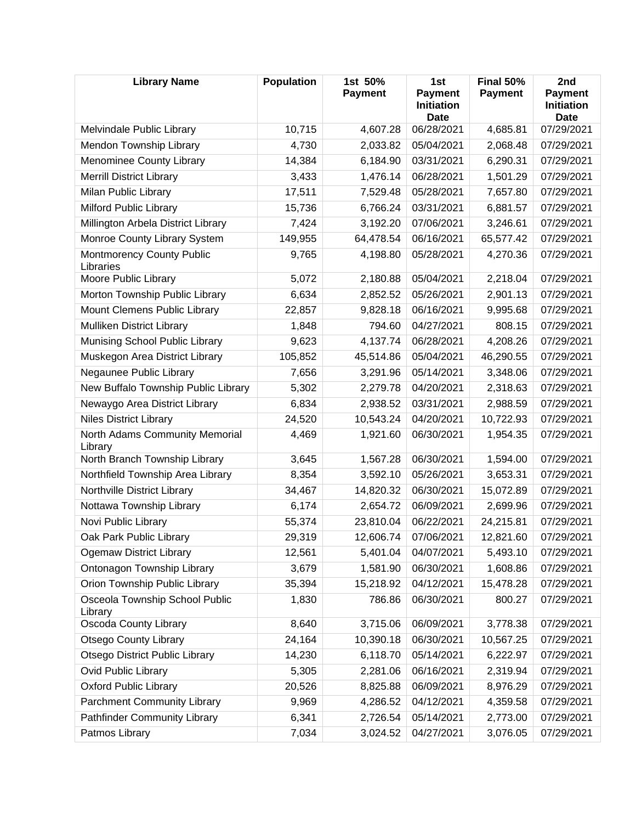| <b>Library Name</b>                           | <b>Population</b> | 1st 50%<br><b>Payment</b> | 1st<br><b>Payment</b><br><b>Initiation</b><br><b>Date</b> | Final 50%<br><b>Payment</b> | 2nd<br><b>Payment</b><br><b>Initiation</b><br>Date |
|-----------------------------------------------|-------------------|---------------------------|-----------------------------------------------------------|-----------------------------|----------------------------------------------------|
| Melvindale Public Library                     | 10,715            | 4,607.28                  | 06/28/2021                                                | 4,685.81                    | 07/29/2021                                         |
| Mendon Township Library                       | 4,730             | 2,033.82                  | 05/04/2021                                                | 2,068.48                    | 07/29/2021                                         |
| Menominee County Library                      | 14,384            | 6,184.90                  | 03/31/2021                                                | 6,290.31                    | 07/29/2021                                         |
| <b>Merrill District Library</b>               | 3,433             | 1,476.14                  | 06/28/2021                                                | 1,501.29                    | 07/29/2021                                         |
| Milan Public Library                          | 17,511            | 7,529.48                  | 05/28/2021                                                | 7,657.80                    | 07/29/2021                                         |
| Milford Public Library                        | 15,736            | 6,766.24                  | 03/31/2021                                                | 6,881.57                    | 07/29/2021                                         |
| Millington Arbela District Library            | 7,424             | 3,192.20                  | 07/06/2021                                                | 3,246.61                    | 07/29/2021                                         |
| Monroe County Library System                  | 149,955           | 64,478.54                 | 06/16/2021                                                | 65,577.42                   | 07/29/2021                                         |
| <b>Montmorency County Public</b><br>Libraries | 9,765             | 4,198.80                  | 05/28/2021                                                | 4,270.36                    | 07/29/2021                                         |
| Moore Public Library                          | 5,072             | 2,180.88                  | 05/04/2021                                                | 2,218.04                    | 07/29/2021                                         |
| Morton Township Public Library                | 6,634             | 2,852.52                  | 05/26/2021                                                | 2,901.13                    | 07/29/2021                                         |
| Mount Clemens Public Library                  | 22,857            | 9,828.18                  | 06/16/2021                                                | 9,995.68                    | 07/29/2021                                         |
| Mulliken District Library                     | 1,848             | 794.60                    | 04/27/2021                                                | 808.15                      | 07/29/2021                                         |
| Munising School Public Library                | 9,623             | 4,137.74                  | 06/28/2021                                                | 4,208.26                    | 07/29/2021                                         |
| Muskegon Area District Library                | 105,852           | 45,514.86                 | 05/04/2021                                                | 46,290.55                   | 07/29/2021                                         |
| Negaunee Public Library                       | 7,656             | 3,291.96                  | 05/14/2021                                                | 3,348.06                    | 07/29/2021                                         |
| New Buffalo Township Public Library           | 5,302             | 2,279.78                  | 04/20/2021                                                | 2,318.63                    | 07/29/2021                                         |
| Newaygo Area District Library                 | 6,834             | 2,938.52                  | 03/31/2021                                                | 2,988.59                    | 07/29/2021                                         |
| <b>Niles District Library</b>                 | 24,520            | 10,543.24                 | 04/20/2021                                                | 10,722.93                   | 07/29/2021                                         |
| North Adams Community Memorial<br>Library     | 4,469             | 1,921.60                  | 06/30/2021                                                | 1,954.35                    | 07/29/2021                                         |
| North Branch Township Library                 | 3,645             | 1,567.28                  | 06/30/2021                                                | 1,594.00                    | 07/29/2021                                         |
| Northfield Township Area Library              | 8,354             | 3,592.10                  | 05/26/2021                                                | 3,653.31                    | 07/29/2021                                         |
| Northville District Library                   | 34,467            | 14,820.32                 | 06/30/2021                                                | 15,072.89                   | 07/29/2021                                         |
| Nottawa Township Library                      | 6,174             | 2,654.72                  | 06/09/2021                                                | 2,699.96                    | 07/29/2021                                         |
| Novi Public Library                           | 55,374            | 23,810.04                 | 06/22/2021                                                | 24,215.81                   | 07/29/2021                                         |
| Oak Park Public Library                       | 29,319            | 12,606.74                 | 07/06/2021                                                | 12,821.60                   | 07/29/2021                                         |
| <b>Ogemaw District Library</b>                | 12,561            | 5,401.04                  | 04/07/2021                                                | 5,493.10                    | 07/29/2021                                         |
| Ontonagon Township Library                    | 3,679             | 1,581.90                  | 06/30/2021                                                | 1,608.86                    | 07/29/2021                                         |
| Orion Township Public Library                 | 35,394            | 15,218.92                 | 04/12/2021                                                | 15,478.28                   | 07/29/2021                                         |
| Osceola Township School Public<br>Library     | 1,830             | 786.86                    | 06/30/2021                                                | 800.27                      | 07/29/2021                                         |
| Oscoda County Library                         | 8,640             | 3,715.06                  | 06/09/2021                                                | 3,778.38                    | 07/29/2021                                         |
| <b>Otsego County Library</b>                  | 24,164            | 10,390.18                 | 06/30/2021                                                | 10,567.25                   | 07/29/2021                                         |
| <b>Otsego District Public Library</b>         | 14,230            | 6,118.70                  | 05/14/2021                                                | 6,222.97                    | 07/29/2021                                         |
| Ovid Public Library                           | 5,305             | 2,281.06                  | 06/16/2021                                                | 2,319.94                    | 07/29/2021                                         |
| <b>Oxford Public Library</b>                  | 20,526            | 8,825.88                  | 06/09/2021                                                | 8,976.29                    | 07/29/2021                                         |
| <b>Parchment Community Library</b>            | 9,969             | 4,286.52                  | 04/12/2021                                                | 4,359.58                    | 07/29/2021                                         |
| <b>Pathfinder Community Library</b>           | 6,341             | 2,726.54                  | 05/14/2021                                                | 2,773.00                    | 07/29/2021                                         |
| Patmos Library                                | 7,034             | 3,024.52                  | 04/27/2021                                                | 3,076.05                    | 07/29/2021                                         |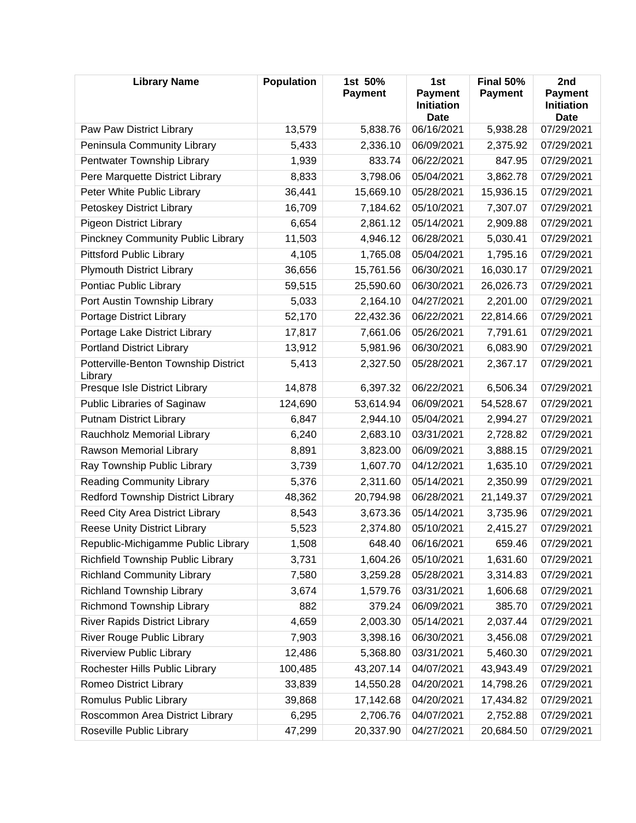| <b>Library Name</b>                             | <b>Population</b> | 1st 50%<br><b>Payment</b> | 1st<br><b>Payment</b><br><b>Initiation</b><br><b>Date</b> | Final 50%<br><b>Payment</b> | 2nd<br><b>Payment</b><br><b>Initiation</b><br>Date |
|-------------------------------------------------|-------------------|---------------------------|-----------------------------------------------------------|-----------------------------|----------------------------------------------------|
| Paw Paw District Library                        | 13,579            | 5,838.76                  | 06/16/2021                                                | 5,938.28                    | 07/29/2021                                         |
| Peninsula Community Library                     | 5,433             | 2,336.10                  | 06/09/2021                                                | 2,375.92                    | 07/29/2021                                         |
| Pentwater Township Library                      | 1,939             | 833.74                    | 06/22/2021                                                | 847.95                      | 07/29/2021                                         |
| Pere Marquette District Library                 | 8,833             | 3,798.06                  | 05/04/2021                                                | 3,862.78                    | 07/29/2021                                         |
| Peter White Public Library                      | 36,441            | 15,669.10                 | 05/28/2021                                                | 15,936.15                   | 07/29/2021                                         |
| Petoskey District Library                       | 16,709            | 7,184.62                  | 05/10/2021                                                | 7,307.07                    | 07/29/2021                                         |
| <b>Pigeon District Library</b>                  | 6,654             | 2,861.12                  | 05/14/2021                                                | 2,909.88                    | 07/29/2021                                         |
| <b>Pinckney Community Public Library</b>        | 11,503            | 4,946.12                  | 06/28/2021                                                | 5,030.41                    | 07/29/2021                                         |
| <b>Pittsford Public Library</b>                 | 4,105             | 1,765.08                  | 05/04/2021                                                | 1,795.16                    | 07/29/2021                                         |
| <b>Plymouth District Library</b>                | 36,656            | 15,761.56                 | 06/30/2021                                                | 16,030.17                   | 07/29/2021                                         |
| Pontiac Public Library                          | 59,515            | 25,590.60                 | 06/30/2021                                                | 26,026.73                   | 07/29/2021                                         |
| Port Austin Township Library                    | 5,033             | 2,164.10                  | 04/27/2021                                                | 2,201.00                    | 07/29/2021                                         |
| Portage District Library                        | 52,170            | 22,432.36                 | 06/22/2021                                                | 22,814.66                   | 07/29/2021                                         |
| Portage Lake District Library                   | 17,817            | 7,661.06                  | 05/26/2021                                                | 7,791.61                    | 07/29/2021                                         |
| <b>Portland District Library</b>                | 13,912            | 5,981.96                  | 06/30/2021                                                | 6,083.90                    | 07/29/2021                                         |
| Potterville-Benton Township District<br>Library | 5,413             | 2,327.50                  | 05/28/2021                                                | 2,367.17                    | 07/29/2021                                         |
| Presque Isle District Library                   | 14,878            | 6,397.32                  | 06/22/2021                                                | 6,506.34                    | 07/29/2021                                         |
| Public Libraries of Saginaw                     | 124,690           | 53,614.94                 | 06/09/2021                                                | 54,528.67                   | 07/29/2021                                         |
| <b>Putnam District Library</b>                  | 6,847             | 2,944.10                  | 05/04/2021                                                | 2,994.27                    | 07/29/2021                                         |
| Rauchholz Memorial Library                      | 6,240             | 2,683.10                  | 03/31/2021                                                | 2,728.82                    | 07/29/2021                                         |
| Rawson Memorial Library                         | 8,891             | 3,823.00                  | 06/09/2021                                                | 3,888.15                    | 07/29/2021                                         |
| Ray Township Public Library                     | 3,739             | 1,607.70                  | 04/12/2021                                                | 1,635.10                    | 07/29/2021                                         |
| <b>Reading Community Library</b>                | 5,376             | 2,311.60                  | 05/14/2021                                                | 2,350.99                    | 07/29/2021                                         |
| Redford Township District Library               | 48,362            | 20,794.98                 | 06/28/2021                                                | 21,149.37                   | 07/29/2021                                         |
| Reed City Area District Library                 | 8,543             | 3,673.36                  | 05/14/2021                                                | 3,735.96                    | 07/29/2021                                         |
| <b>Reese Unity District Library</b>             | 5,523             | 2,374.80                  | 05/10/2021                                                | 2,415.27                    | 07/29/2021                                         |
| Republic-Michigamme Public Library              | 1,508             | 648.40                    | 06/16/2021                                                | 659.46                      | 07/29/2021                                         |
| Richfield Township Public Library               | 3,731             | 1,604.26                  | 05/10/2021                                                | 1,631.60                    | 07/29/2021                                         |
| <b>Richland Community Library</b>               | 7,580             | 3,259.28                  | 05/28/2021                                                | 3,314.83                    | 07/29/2021                                         |
| <b>Richland Township Library</b>                | 3,674             | 1,579.76                  | 03/31/2021                                                | 1,606.68                    | 07/29/2021                                         |
| Richmond Township Library                       | 882               | 379.24                    | 06/09/2021                                                | 385.70                      | 07/29/2021                                         |
| <b>River Rapids District Library</b>            | 4,659             | 2,003.30                  | 05/14/2021                                                | 2,037.44                    | 07/29/2021                                         |
| River Rouge Public Library                      | 7,903             | 3,398.16                  | 06/30/2021                                                | 3,456.08                    | 07/29/2021                                         |
| <b>Riverview Public Library</b>                 | 12,486            | 5,368.80                  | 03/31/2021                                                | 5,460.30                    | 07/29/2021                                         |
| Rochester Hills Public Library                  | 100,485           | 43,207.14                 | 04/07/2021                                                | 43,943.49                   | 07/29/2021                                         |
| Romeo District Library                          | 33,839            | 14,550.28                 | 04/20/2021                                                | 14,798.26                   | 07/29/2021                                         |
| Romulus Public Library                          | 39,868            | 17,142.68                 | 04/20/2021                                                | 17,434.82                   | 07/29/2021                                         |
| Roscommon Area District Library                 | 6,295             | 2,706.76                  | 04/07/2021                                                | 2,752.88                    | 07/29/2021                                         |
| Roseville Public Library                        | 47,299            | 20,337.90                 | 04/27/2021                                                | 20,684.50                   | 07/29/2021                                         |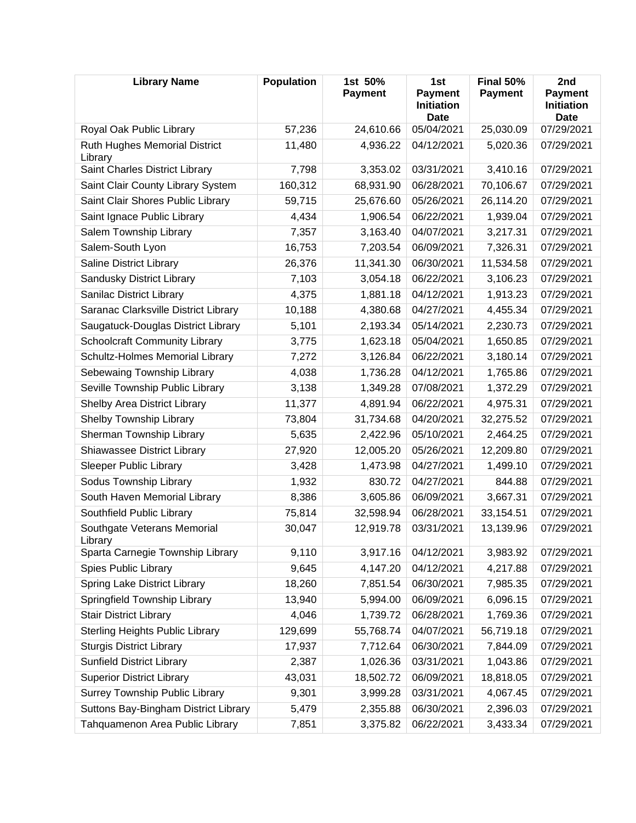| <b>Library Name</b>                             | Population | 1st 50%<br><b>Payment</b> | 1st<br><b>Payment</b><br><b>Initiation</b><br><b>Date</b> | Final 50%<br><b>Payment</b> | 2nd<br><b>Payment</b><br><b>Initiation</b><br><b>Date</b> |
|-------------------------------------------------|------------|---------------------------|-----------------------------------------------------------|-----------------------------|-----------------------------------------------------------|
| Royal Oak Public Library                        | 57,236     | 24,610.66                 | 05/04/2021                                                | 25,030.09                   | 07/29/2021                                                |
| <b>Ruth Hughes Memorial District</b><br>Library | 11,480     | 4,936.22                  | 04/12/2021                                                | 5,020.36                    | 07/29/2021                                                |
| Saint Charles District Library                  | 7,798      | 3,353.02                  | 03/31/2021                                                | 3,410.16                    | 07/29/2021                                                |
| Saint Clair County Library System               | 160,312    | 68,931.90                 | 06/28/2021                                                | 70,106.67                   | 07/29/2021                                                |
| Saint Clair Shores Public Library               | 59,715     | 25,676.60                 | 05/26/2021                                                | 26,114.20                   | 07/29/2021                                                |
| Saint Ignace Public Library                     | 4,434      | 1,906.54                  | 06/22/2021                                                | 1,939.04                    | 07/29/2021                                                |
| Salem Township Library                          | 7,357      | 3,163.40                  | 04/07/2021                                                | 3,217.31                    | 07/29/2021                                                |
| Salem-South Lyon                                | 16,753     | 7,203.54                  | 06/09/2021                                                | 7,326.31                    | 07/29/2021                                                |
| Saline District Library                         | 26,376     | 11,341.30                 | 06/30/2021                                                | 11,534.58                   | 07/29/2021                                                |
| Sandusky District Library                       | 7,103      | 3,054.18                  | 06/22/2021                                                | 3,106.23                    | 07/29/2021                                                |
| Sanilac District Library                        | 4,375      | 1,881.18                  | 04/12/2021                                                | 1,913.23                    | 07/29/2021                                                |
| Saranac Clarksville District Library            | 10,188     | 4,380.68                  | 04/27/2021                                                | 4,455.34                    | 07/29/2021                                                |
| Saugatuck-Douglas District Library              | 5,101      | 2,193.34                  | 05/14/2021                                                | 2,230.73                    | 07/29/2021                                                |
| <b>Schoolcraft Community Library</b>            | 3,775      | 1,623.18                  | 05/04/2021                                                | 1,650.85                    | 07/29/2021                                                |
| Schultz-Holmes Memorial Library                 | 7,272      | 3,126.84                  | 06/22/2021                                                | 3,180.14                    | 07/29/2021                                                |
| Sebewaing Township Library                      | 4,038      | 1,736.28                  | 04/12/2021                                                | 1,765.86                    | 07/29/2021                                                |
| Seville Township Public Library                 | 3,138      | 1,349.28                  | 07/08/2021                                                | 1,372.29                    | 07/29/2021                                                |
| Shelby Area District Library                    | 11,377     | 4,891.94                  | 06/22/2021                                                | 4,975.31                    | 07/29/2021                                                |
| Shelby Township Library                         | 73,804     | 31,734.68                 | 04/20/2021                                                | 32,275.52                   | 07/29/2021                                                |
| Sherman Township Library                        | 5,635      | 2,422.96                  | 05/10/2021                                                | 2,464.25                    | 07/29/2021                                                |
| Shiawassee District Library                     | 27,920     | 12,005.20                 | 05/26/2021                                                | 12,209.80                   | 07/29/2021                                                |
| <b>Sleeper Public Library</b>                   | 3,428      | 1,473.98                  | 04/27/2021                                                | 1,499.10                    | 07/29/2021                                                |
| Sodus Township Library                          | 1,932      | 830.72                    | 04/27/2021                                                | 844.88                      | 07/29/2021                                                |
| South Haven Memorial Library                    | 8,386      | 3,605.86                  | 06/09/2021                                                | 3,667.31                    | 07/29/2021                                                |
| Southfield Public Library                       | 75,814     | 32,598.94                 | 06/28/2021                                                | 33,154.51                   | 07/29/2021                                                |
| Southgate Veterans Memorial<br>Library          | 30,047     | 12,919.78                 | 03/31/2021                                                | 13,139.96                   | 07/29/2021                                                |
| Sparta Carnegie Township Library                | 9,110      | 3,917.16                  | 04/12/2021                                                | 3,983.92                    | 07/29/2021                                                |
| Spies Public Library                            | 9,645      | 4,147.20                  | 04/12/2021                                                | 4,217.88                    | 07/29/2021                                                |
| Spring Lake District Library                    | 18,260     | 7,851.54                  | 06/30/2021                                                | 7,985.35                    | 07/29/2021                                                |
| Springfield Township Library                    | 13,940     | 5,994.00                  | 06/09/2021                                                | 6,096.15                    | 07/29/2021                                                |
| <b>Stair District Library</b>                   | 4,046      | 1,739.72                  | 06/28/2021                                                | 1,769.36                    | 07/29/2021                                                |
| <b>Sterling Heights Public Library</b>          | 129,699    | 55,768.74                 | 04/07/2021                                                | 56,719.18                   | 07/29/2021                                                |
| <b>Sturgis District Library</b>                 | 17,937     | 7,712.64                  | 06/30/2021                                                | 7,844.09                    | 07/29/2021                                                |
| <b>Sunfield District Library</b>                | 2,387      | 1,026.36                  | 03/31/2021                                                | 1,043.86                    | 07/29/2021                                                |
| <b>Superior District Library</b>                | 43,031     | 18,502.72                 | 06/09/2021                                                | 18,818.05                   | 07/29/2021                                                |
| Surrey Township Public Library                  | 9,301      | 3,999.28                  | 03/31/2021                                                | 4,067.45                    | 07/29/2021                                                |
| Suttons Bay-Bingham District Library            | 5,479      | 2,355.88                  | 06/30/2021                                                | 2,396.03                    | 07/29/2021                                                |
| Tahquamenon Area Public Library                 | 7,851      | 3,375.82                  | 06/22/2021                                                | 3,433.34                    | 07/29/2021                                                |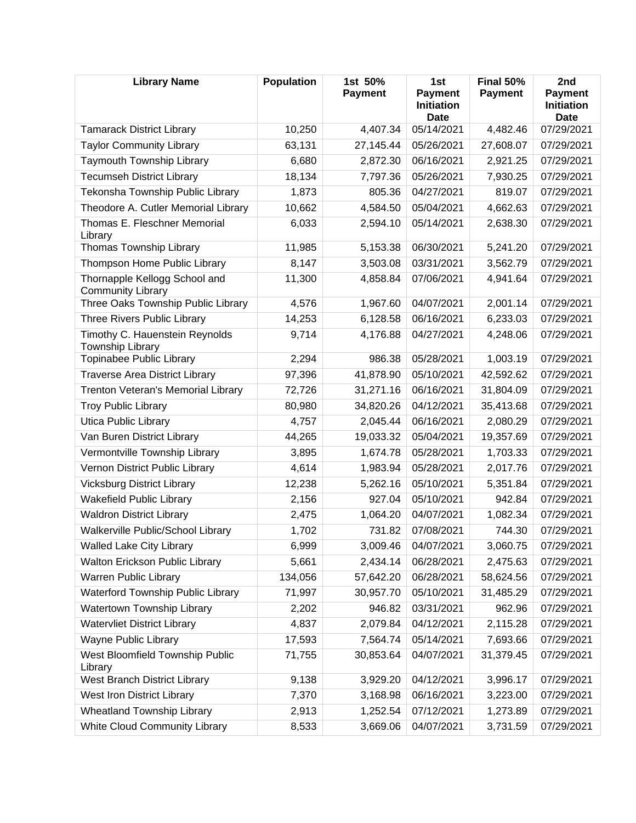| <b>Library Name</b>                                       | <b>Population</b> | 1st 50%<br><b>Payment</b> | 1st<br><b>Payment</b><br><b>Initiation</b><br><b>Date</b> | Final 50%<br><b>Payment</b> | 2nd<br><b>Payment</b><br><b>Initiation</b><br><b>Date</b> |
|-----------------------------------------------------------|-------------------|---------------------------|-----------------------------------------------------------|-----------------------------|-----------------------------------------------------------|
| <b>Tamarack District Library</b>                          | 10,250            | 4,407.34                  | 05/14/2021                                                | 4,482.46                    | 07/29/2021                                                |
| <b>Taylor Community Library</b>                           | 63,131            | 27,145.44                 | 05/26/2021                                                | 27,608.07                   | 07/29/2021                                                |
| Taymouth Township Library                                 | 6,680             | 2,872.30                  | 06/16/2021                                                | 2,921.25                    | 07/29/2021                                                |
| <b>Tecumseh District Library</b>                          | 18,134            | 7,797.36                  | 05/26/2021                                                | 7,930.25                    | 07/29/2021                                                |
| Tekonsha Township Public Library                          | 1,873             | 805.36                    | 04/27/2021                                                | 819.07                      | 07/29/2021                                                |
| Theodore A. Cutler Memorial Library                       | 10,662            | 4,584.50                  | 05/04/2021                                                | 4,662.63                    | 07/29/2021                                                |
| Thomas E. Fleschner Memorial<br>Library                   | 6,033             | 2,594.10                  | 05/14/2021                                                | 2,638.30                    | 07/29/2021                                                |
| Thomas Township Library                                   | 11,985            | 5,153.38                  | 06/30/2021                                                | 5,241.20                    | 07/29/2021                                                |
| Thompson Home Public Library                              | 8,147             | 3,503.08                  | 03/31/2021                                                | 3,562.79                    | 07/29/2021                                                |
| Thornapple Kellogg School and<br><b>Community Library</b> | 11,300            | 4,858.84                  | 07/06/2021                                                | 4,941.64                    | 07/29/2021                                                |
| Three Oaks Township Public Library                        | 4,576             | 1,967.60                  | 04/07/2021                                                | 2,001.14                    | 07/29/2021                                                |
| Three Rivers Public Library                               | 14,253            | 6,128.58                  | 06/16/2021                                                | 6,233.03                    | 07/29/2021                                                |
| Timothy C. Hauenstein Reynolds<br>Township Library        | 9,714             | 4,176.88                  | 04/27/2021                                                | 4,248.06                    | 07/29/2021                                                |
| Topinabee Public Library                                  | 2,294             | 986.38                    | 05/28/2021                                                | 1,003.19                    | 07/29/2021                                                |
| <b>Traverse Area District Library</b>                     | 97,396            | 41,878.90                 | 05/10/2021                                                | 42,592.62                   | 07/29/2021                                                |
| Trenton Veteran's Memorial Library                        | 72,726            | 31,271.16                 | 06/16/2021                                                | 31,804.09                   | 07/29/2021                                                |
| <b>Troy Public Library</b>                                | 80,980            | 34,820.26                 | 04/12/2021                                                | 35,413.68                   | 07/29/2021                                                |
| <b>Utica Public Library</b>                               | 4,757             | 2,045.44                  | 06/16/2021                                                | 2,080.29                    | 07/29/2021                                                |
| Van Buren District Library                                | 44,265            | 19,033.32                 | 05/04/2021                                                | 19,357.69                   | 07/29/2021                                                |
| Vermontville Township Library                             | 3,895             | 1,674.78                  | 05/28/2021                                                | 1,703.33                    | 07/29/2021                                                |
| Vernon District Public Library                            | 4,614             | 1,983.94                  | 05/28/2021                                                | 2,017.76                    | 07/29/2021                                                |
| <b>Vicksburg District Library</b>                         | 12,238            | 5,262.16                  | 05/10/2021                                                | 5,351.84                    | 07/29/2021                                                |
| <b>Wakefield Public Library</b>                           | 2,156             | 927.04                    | 05/10/2021                                                | 942.84                      | 07/29/2021                                                |
| <b>Waldron District Library</b>                           | 2,475             | 1,064.20                  | 04/07/2021                                                | 1,082.34                    | 07/29/2021                                                |
| Walkerville Public/School Library                         | 1,702             | 731.82                    | 07/08/2021                                                | 744.30                      | 07/29/2021                                                |
| <b>Walled Lake City Library</b>                           | 6,999             | 3,009.46                  | 04/07/2021                                                | 3,060.75                    | 07/29/2021                                                |
| <b>Walton Erickson Public Library</b>                     | 5,661             | 2,434.14                  | 06/28/2021                                                | 2,475.63                    | 07/29/2021                                                |
| Warren Public Library                                     | 134,056           | 57,642.20                 | 06/28/2021                                                | 58,624.56                   | 07/29/2021                                                |
| Waterford Township Public Library                         | 71,997            | 30,957.70                 | 05/10/2021                                                | 31,485.29                   | 07/29/2021                                                |
| Watertown Township Library                                | 2,202             | 946.82                    | 03/31/2021                                                | 962.96                      | 07/29/2021                                                |
| <b>Watervliet District Library</b>                        | 4,837             | 2,079.84                  | 04/12/2021                                                | 2,115.28                    | 07/29/2021                                                |
| Wayne Public Library                                      | 17,593            | 7,564.74                  | 05/14/2021                                                | 7,693.66                    | 07/29/2021                                                |
| West Bloomfield Township Public<br>Library                | 71,755            | 30,853.64                 | 04/07/2021                                                | 31,379.45                   | 07/29/2021                                                |
| West Branch District Library                              | 9,138             | 3,929.20                  | 04/12/2021                                                | 3,996.17                    | 07/29/2021                                                |
| West Iron District Library                                | 7,370             | 3,168.98                  | 06/16/2021                                                | 3,223.00                    | 07/29/2021                                                |
| <b>Wheatland Township Library</b>                         | 2,913             | 1,252.54                  | 07/12/2021                                                | 1,273.89                    | 07/29/2021                                                |
| White Cloud Community Library                             | 8,533             | 3,669.06                  | 04/07/2021                                                | 3,731.59                    | 07/29/2021                                                |